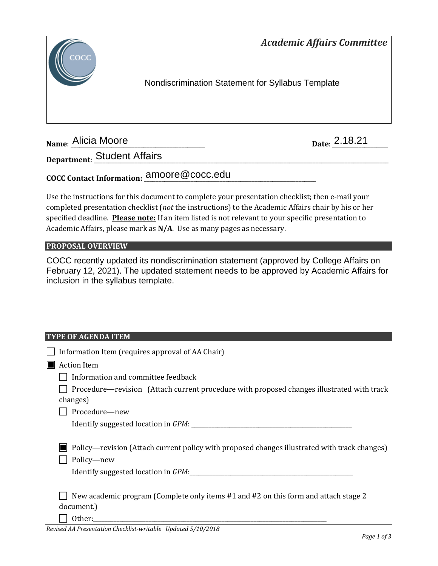*Academic Affairs Committee* 



Nondiscrimination Statement for Syllabus Template

**Name: Alicia Moore** 

Date: 2.18.21

**Department**: \_\_\_\_\_\_\_\_\_\_\_\_\_\_\_\_\_\_\_\_\_\_\_\_\_\_\_\_\_\_\_\_\_\_\_\_\_\_\_\_\_\_\_\_\_\_\_\_\_\_\_\_\_\_\_\_\_\_\_\_\_\_\_\_\_\_\_\_\_\_\_\_\_\_\_\_\_\_\_\_\_\_\_\_\_\_\_\_\_\_\_\_\_\_\_\_\_\_\_\_\_ Student Affairs

# **COCC Contact Information:** \_\_\_\_\_\_\_\_\_\_\_\_\_\_\_\_\_\_\_\_\_\_\_\_\_\_\_\_\_\_\_\_\_\_\_\_\_\_\_\_\_\_\_\_\_\_\_\_\_\_\_\_\_\_\_\_\_\_\_ amoore@cocc.edu

Use the instructions for this document to complete your presentation checklist; then e-mail your completed presentation checklist (*not* the instructions) to the Academic Affairs chair by his or her specified deadline. **Please note:** If an item listed is not relevant to your specific presentation to Academic Affairs, please mark as **N/A**. Use as many pages as necessary.

## **PROPOSAL OVERVIEW**

COCC recently updated its nondiscrimination statement (approved by College Affairs on February 12, 2021). The updated statement needs to be approved by Academic Affairs for inclusion in the syllabus template.

## **TYPE OF AGENDA ITEM**

| Information Item (requires approval of AA Chair)                                                           |
|------------------------------------------------------------------------------------------------------------|
| <b>Action Item</b>                                                                                         |
| Information and committee feedback                                                                         |
| Procedure—revision (Attach current procedure with proposed changes illustrated with track                  |
| changes)                                                                                                   |
| Procedure-new                                                                                              |
|                                                                                                            |
| Policy—revision (Attach current policy with proposed changes illustrated with track changes)<br>Policy-new |
| New academic program (Complete only items #1 and #2 on this form and attach stage 2<br>document.)          |
| Other:                                                                                                     |